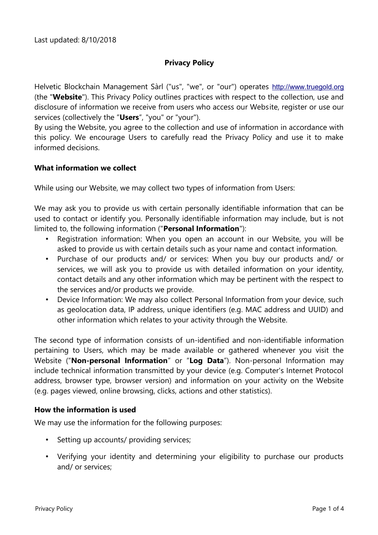# **Privacy Policy**

Helvetic Blockchain Management Sàrl ("us", "we", or "our") operates [http://www.truegold.org](http://www.truegold.org/) (the "**Website**"). This Privacy Policy outlines practices with respect to the collection, use and disclosure of information we receive from users who access our Website, register or use our services (collectively the "**Users**", "you" or "your").

By using the Website, you agree to the collection and use of information in accordance with this policy. We encourage Users to carefully read the Privacy Policy and use it to make informed decisions.

#### **What information we collect**

While using our Website, we may collect two types of information from Users:

We may ask you to provide us with certain personally identifiable information that can be used to contact or identify you. Personally identifiable information may include, but is not limited to, the following information ("**Personal Information**"):

- Registration information: When you open an account in our Website, you will be asked to provide us with certain details such as your name and contact information.
- Purchase of our products and/ or services: When you buy our products and/ or services, we will ask you to provide us with detailed information on your identity, contact details and any other information which may be pertinent with the respect to the services and/or products we provide.
- Device Information: We may also collect Personal Information from your device, such as geolocation data, IP address, unique identifiers (e.g. MAC address and UUID) and other information which relates to your activity through the Website.

The second type of information consists of un-identified and non-identifiable information pertaining to Users, which may be made available or gathered whenever you visit the Website ("**Non-personal Information**" or "**Log Data**"). Non-personal Information may include technical information transmitted by your device (e.g. Computer's Internet Protocol address, browser type, browser version) and information on your activity on the Website (e.g. pages viewed, online browsing, clicks, actions and other statistics).

#### **How the information is used**

We may use the information for the following purposes:

- Setting up accounts/ providing services;
- Verifying your identity and determining your eligibility to purchase our products and/ or services;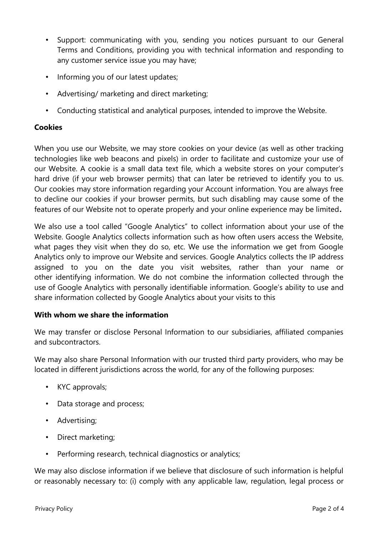- Support: communicating with you, sending you notices pursuant to our General Terms and Conditions, providing you with technical information and responding to any customer service issue you may have;
- Informing you of our latest updates;
- Advertising/ marketing and direct marketing;
- Conducting statistical and analytical purposes, intended to improve the Website.

## **Cookies**

When you use our Website, we may store cookies on your device (as well as other tracking technologies like web beacons and pixels) in order to facilitate and customize your use of our Website. A cookie is a small data text file, which a website stores on your computer's hard drive (if your web browser permits) that can later be retrieved to identify you to us. Our cookies may store information regarding your Account information. You are always free to decline our cookies if your browser permits, but such disabling may cause some of the features of our Website not to operate properly and your online experience may be limited**.** 

We also use a tool called "Google Analytics" to collect information about your use of the Website. Google Analytics collects information such as how often users access the Website, what pages they visit when they do so, etc. We use the information we get from Google Analytics only to improve our Website and services. Google Analytics collects the IP address assigned to you on the date you visit websites, rather than your name or other identifying information. We do not combine the information collected through the use of Google Analytics with personally identifiable information. Google's ability to use and share information collected by Google Analytics about your visits to this

#### **With whom we share the information**

We may transfer or disclose Personal Information to our subsidiaries, affiliated companies and subcontractors.

We may also share Personal Information with our trusted third party providers, who may be located in different jurisdictions across the world, for any of the following purposes:

- KYC approvals;
- Data storage and process;
- Advertising;
- Direct marketing;
- Performing research, technical diagnostics or analytics;

We may also disclose information if we believe that disclosure of such information is helpful or reasonably necessary to: (i) comply with any applicable law, regulation, legal process or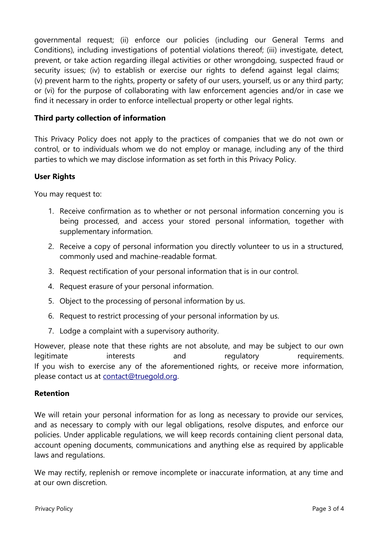governmental request; (ii) enforce our policies (including our General Terms and Conditions), including investigations of potential violations thereof; (iii) investigate, detect, prevent, or take action regarding illegal activities or other wrongdoing, suspected fraud or security issues; (iv) to establish or exercise our rights to defend against legal claims; (v) prevent harm to the rights, property or safety of our users, yourself, us or any third party; or (vi) for the purpose of collaborating with law enforcement agencies and/or in case we find it necessary in order to enforce intellectual property or other legal rights.

## **Third party collection of information**

This Privacy Policy does not apply to the practices of companies that we do not own or control, or to individuals whom we do not employ or manage, including any of the third parties to which we may disclose information as set forth in this Privacy Policy.

#### **User Rights**

You may request to:

- 1. Receive confirmation as to whether or not personal information concerning you is being processed, and access your stored personal information, together with supplementary information.
- 2. Receive a copy of personal information you directly volunteer to us in a structured, commonly used and machine-readable format.
- 3. Request rectification of your personal information that is in our control.
- 4. Request erasure of your personal information.
- 5. Object to the processing of personal information by us.
- 6. Request to restrict processing of your personal information by us.
- 7. Lodge a complaint with a supervisory authority.

However, please note that these rights are not absolute, and may be subject to our own legitimate interests and regulatory requirements. If you wish to exercise any of the aforementioned rights, or receive more information, please contact us at [contact@truegold.org.](mailto:contact@truegold.org)

#### **Retention**

We will retain your personal information for as long as necessary to provide our services, and as necessary to comply with our legal obligations, resolve disputes, and enforce our policies. Under applicable regulations, we will keep records containing client personal data, account opening documents, communications and anything else as required by applicable laws and regulations.

We may rectify, replenish or remove incomplete or inaccurate information, at any time and at our own discretion.